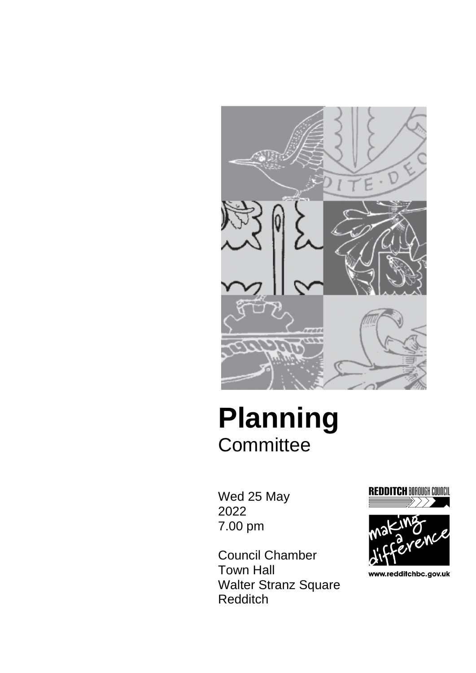

# **Planning Committee**

Wed 25 May 2022 7.00 pm

Council Chamber Town Hall Walter Stranz Square Redditch



www.redditchbc.gov.uk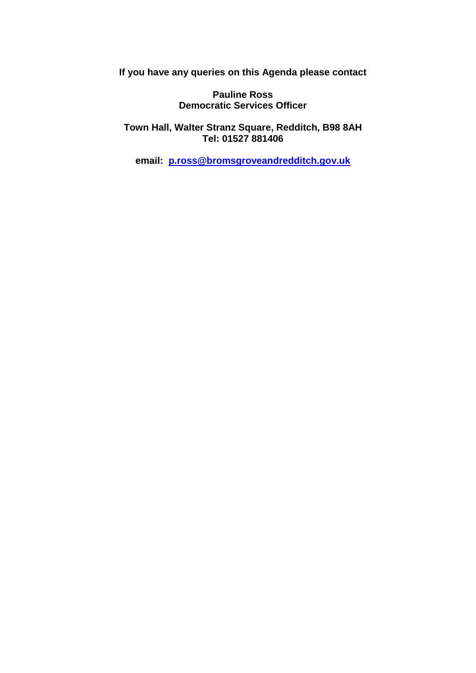**If you have any queries on this Agenda please contact** 

**Pauline Ross Democratic Services Officer** 

**Town Hall, Walter Stranz Square, Redditch, B98 8AH Tel: [01527](tel:01527) 881406**

**email: [p.ross@bromsgroveandredditch.gov.uk](mailto:p.ross@bromsgroveandredditch.gov.uk)**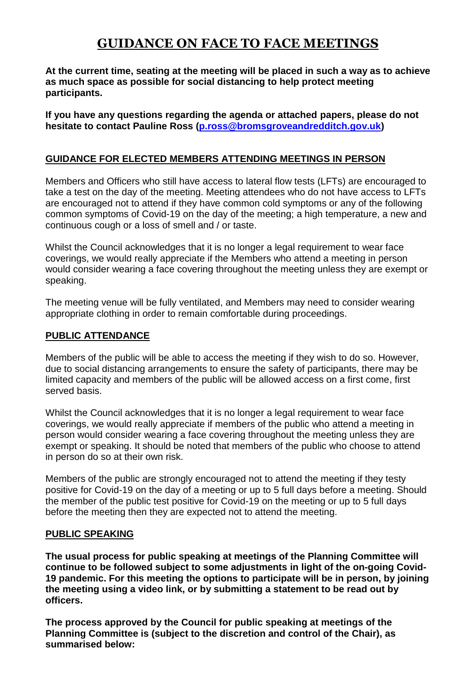# **GUIDANCE ON FACE TO FACE MEETINGS**

**At the current time, seating at the meeting will be placed in such a way as to achieve as much space as possible for social distancing to help protect meeting participants.**

**If you have any questions regarding the agenda or attached papers, please do not hesitate to contact Pauline Ross [\(p.ross@bromsgroveandredditch.gov.uk\)](mailto:p.ross@bromsgroveandredditch.gov.uk)**

### **GUIDANCE FOR ELECTED MEMBERS ATTENDING MEETINGS IN PERSON**

Members and Officers who still have access to lateral flow tests (LFTs) are encouraged to take a test on the day of the meeting. Meeting attendees who do not have access to LFTs are encouraged not to attend if they have common cold symptoms or any of the following common symptoms of Covid-19 on the day of the meeting; a high temperature, a new and continuous cough or a loss of smell and / or taste.

Whilst the Council acknowledges that it is no longer a legal requirement to wear face coverings, we would really appreciate if the Members who attend a meeting in person would consider wearing a face covering throughout the meeting unless they are exempt or speaking.

The meeting venue will be fully ventilated, and Members may need to consider wearing appropriate clothing in order to remain comfortable during proceedings.

#### **PUBLIC ATTENDANCE**

Members of the public will be able to access the meeting if they wish to do so. However, due to social distancing arrangements to ensure the safety of participants, there may be limited capacity and members of the public will be allowed access on a first come, first served basis.

Whilst the Council acknowledges that it is no longer a legal requirement to wear face coverings, we would really appreciate if members of the public who attend a meeting in person would consider wearing a face covering throughout the meeting unless they are exempt or speaking. It should be noted that members of the public who choose to attend in person do so at their own risk.

Members of the public are strongly encouraged not to attend the meeting if they testy positive for Covid-19 on the day of a meeting or up to 5 full days before a meeting. Should the member of the public test positive for Covid-19 on the meeting or up to 5 full days before the meeting then they are expected not to attend the meeting.

#### **PUBLIC SPEAKING**

**The usual process for public speaking at meetings of the Planning Committee will continue to be followed subject to some adjustments in light of the on-going Covid-19 pandemic. For this meeting the options to participate will be in person, by joining the meeting using a video link, or by submitting a statement to be read out by officers.**

**The process approved by the Council for public speaking at meetings of the Planning Committee is (subject to the discretion and control of the Chair), as summarised below:**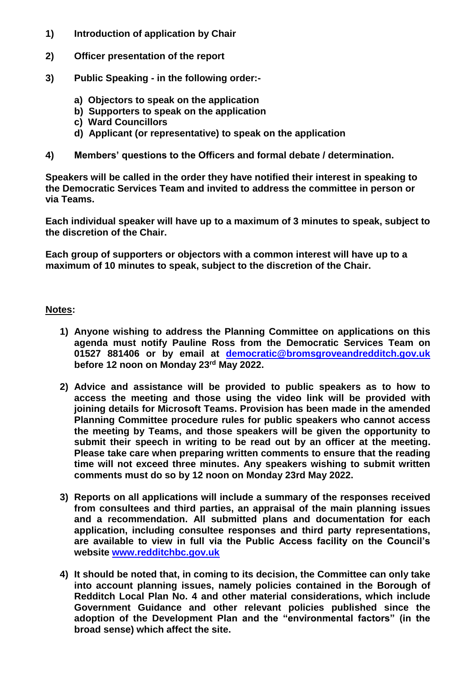- **1) Introduction of application by Chair**
- **2) Officer presentation of the report**
- **3) Public Speaking - in the following order:**
	- **a) Objectors to speak on the application**
	- **b) Supporters to speak on the application**
	- **c) Ward Councillors**
	- **d) Applicant (or representative) to speak on the application**
- **4) Members' questions to the Officers and formal debate / determination.**

**Speakers will be called in the order they have notified their interest in speaking to the Democratic Services Team and invited to address the committee in person or via Teams.**

**Each individual speaker will have up to a maximum of 3 minutes to speak, subject to the discretion of the Chair.**

**Each group of supporters or objectors with a common interest will have up to a maximum of 10 minutes to speak, subject to the discretion of the Chair.**

#### **Notes:**

- **1) Anyone wishing to address the Planning Committee on applications on this agenda must notify Pauline Ross from the Democratic Services Team on 01527 881406 or by email at [democratic@bromsgroveandredditch.gov.uk](mailto:democratic@bromsgroveandredditch.gov.uk) before 12 noon on Monday 23rd May 2022.**
- **2) Advice and assistance will be provided to public speakers as to how to access the meeting and those using the video link will be provided with joining details for Microsoft Teams. Provision has been made in the amended Planning Committee procedure rules for public speakers who cannot access the meeting by Teams, and those speakers will be given the opportunity to submit their speech in writing to be read out by an officer at the meeting. Please take care when preparing written comments to ensure that the reading time will not exceed three minutes. Any speakers wishing to submit written comments must do so by 12 noon on Monday 23rd May 2022.**
- **3) Reports on all applications will include a summary of the responses received from consultees and third parties, an appraisal of the main planning issues and a recommendation. All submitted plans and documentation for each application, including consultee responses and third party representations, are available to view in full via the Public Access facility on the Council's website [www.redditchbc.gov.uk](http://www.redditchbc.gov.uk/)**
- **4) It should be noted that, in coming to its decision, the Committee can only take into account planning issues, namely policies contained in the Borough of Redditch Local Plan No. 4 and other material considerations, which include Government Guidance and other relevant policies published since the adoption of the Development Plan and the "environmental factors" (in the broad sense) which affect the site.**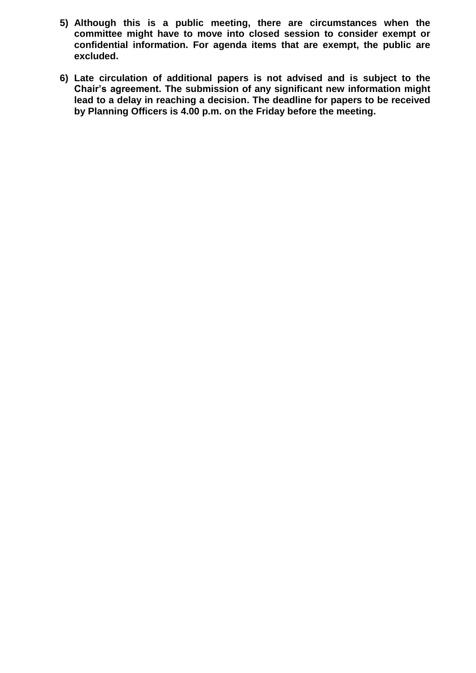- **5) Although this is a public meeting, there are circumstances when the committee might have to move into closed session to consider exempt or confidential information. For agenda items that are exempt, the public are excluded.**
- **6) Late circulation of additional papers is not advised and is subject to the Chair's agreement. The submission of any significant new information might lead to a delay in reaching a decision. The deadline for papers to be received by Planning Officers is 4.00 p.m. on the Friday before the meeting.**